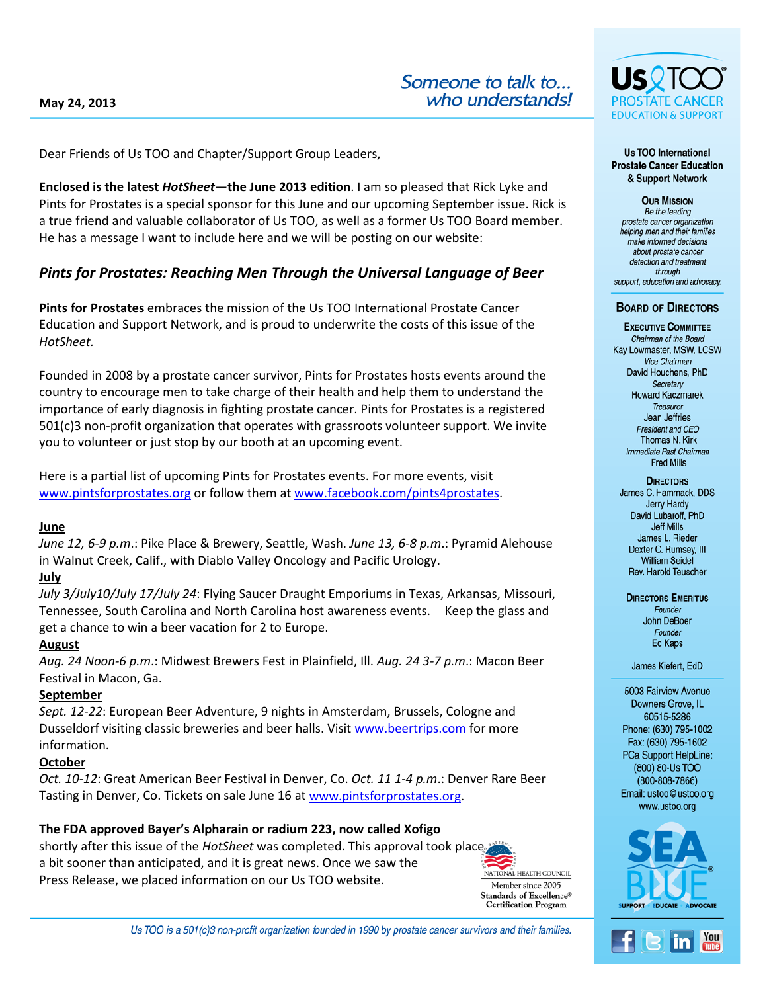Dear Friends of Us TOO and Chapter/Support Group Leaders,

**Enclosed is the latest** *HotSheet—***the June 2013 edition**. I am so pleased that Rick Lyke and Pints for Prostates is a special sponsor for this June and our upcoming September issue. Rick is a true friend and valuable collaborator of Us TOO, as well as a former Us TOO Board member. He has a message I want to include here and we will be posting on our website:

# *Pints for Prostates: Reaching Men Through the Universal Language of Beer*

**Pints for Prostates** embraces the mission of the Us TOO International Prostate Cancer Education and Support Network, and is proud to underwrite the costs of this issue of the *HotSheet.*

Founded in 2008 by a prostate cancer survivor, Pints for Prostates hosts events around the country to encourage men to take charge of their health and help them to understand the importance of early diagnosis in fighting prostate cancer. Pints for Prostates is a registered 501(c)3 non-profit organization that operates with grassroots volunteer support. We invite you to volunteer or just stop by our booth at an upcoming event.

Here is a partial list of upcoming Pints for Prostates events. For more events, visit [www.pintsforprostates.org](http://www.pintsforprostates.org/) or follow them at [www.facebook.com/pints4prostates.](http://www.facebook.com/pints4prostates)

## **June**

*June 12, 6-9 p.m*.: Pike Place & Brewery, Seattle, Wash. *June 13, 6-8 p.m*.: Pyramid Alehouse in Walnut Creek, Calif., with Diablo Valley Oncology and Pacific Urology.

## **July**

*July 3/July10/July 17/July 24*: Flying Saucer Draught Emporiums in Texas, Arkansas, Missouri, Tennessee, South Carolina and North Carolina host awareness events. Keep the glass and get a chance to win a beer vacation for 2 to Europe.

## **August**

*Aug. 24 Noon-6 p.m*.: Midwest Brewers Fest in Plainfield, Ill. *Aug. 24 3-7 p.m*.: Macon Beer Festival in Macon, Ga.

## **September**

*Sept. 12-22*: European Beer Adventure, 9 nights in Amsterdam, Brussels, Cologne and Dusseldorf visiting classic breweries and beer halls. Visit [www.beertrips.com](http://www.beertrips.com/) for more information.

## **October**

*Oct. 10-12*: Great American Beer Festival in Denver, Co. *Oct. 11 1-4 p.m*.: Denver Rare Beer Tasting in Denver, Co. Tickets on sale June 16 at [www.pintsforprostates.org.](http://www.pintsforprostates.org/)

## **The FDA approved Bayer's Alpharain or radium 223, now called Xofigo**

shortly after this issue of the *HotSheet* was completed. This approval took place a bit sooner than anticipated, and it is great news. Once we saw the Press Release, we placed information on our Us TOO website.



Us TOO is a 501(c)3 non-profit organization founded in 1990 by prostate cancer survivors and their families.



#### **Us TOO International Prostate Cancer Education** & Support Network

**OUR MISSION** Be the leading prostate cancer organization helping men and their families make informed decisions about prostate cancer detection and treatment through support, education and advocacy.

#### **BOARD OF DIRECTORS**

**EXECUTIVE COMMITTEE** Chairman of the Board Kay Lowmaster, MSW, LCSW Vice Chairman David Houchens, PhD Secretary **Howard Kaczmarek** Treasurer **Jean Jeffries** President and CFO Thomas N. Kirk Immediate Past Chairman **Fred Mills** 

**DIRECTORS** James C. Hammack, DDS Jerry Hardy David Lubaroff, PhD **Jeff Mills** James L. Rieder Dexter C. Rumsey, III **William Seidel** Rev. Harold Teuscher

#### **DIRECTORS EMERITUS** Founder **John DeBoer** Founder **Ed Kaps**

James Kiefert, EdD

5003 Fairview Avenue Downers Grove, IL 60515-5286 Phone: (630) 795-1002 Fax: (630) 795-1602 PCa Support HelpLine: (800) 80-Us TOO  $(800 - 808 - 7866)$ Email: ustoo@ustoo.org www.ustoo.org